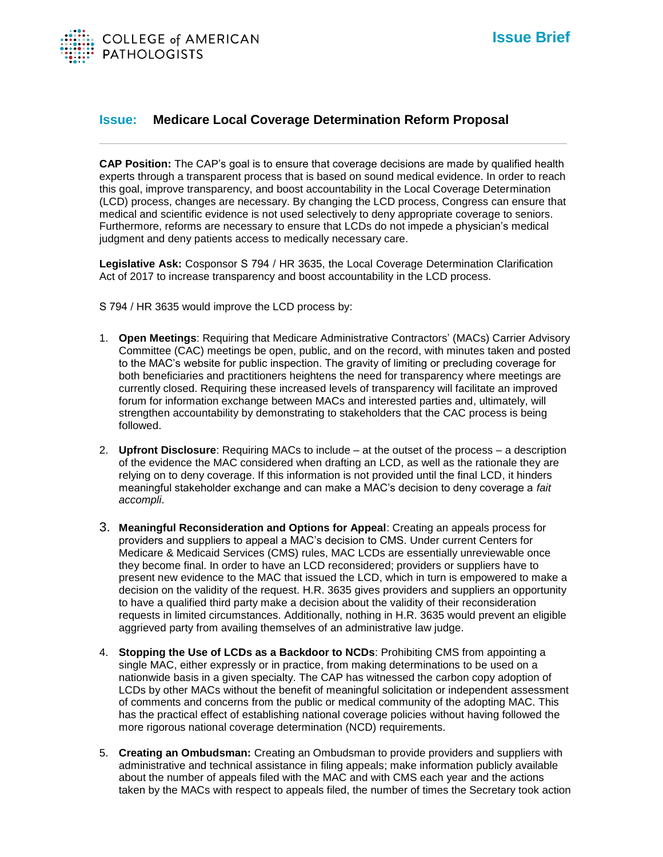

## **Issue: Medicare Local Coverage Determination Reform Proposal**

**CAP Position:** The CAP's goal is to ensure that coverage decisions are made by qualified health experts through a transparent process that is based on sound medical evidence. In order to reach this goal, improve transparency, and boost accountability in the Local Coverage Determination (LCD) process, changes are necessary. By changing the LCD process, Congress can ensure that medical and scientific evidence is not used selectively to deny appropriate coverage to seniors. Furthermore, reforms are necessary to ensure that LCDs do not impede a physician's medical judgment and deny patients access to medically necessary care.

**Legislative Ask:** Cosponsor S 794 / HR 3635, the Local Coverage Determination Clarification Act of 2017 to increase transparency and boost accountability in the LCD process.

S 794 / HR 3635 would improve the LCD process by:

- 1. **Open Meetings**: Requiring that Medicare Administrative Contractors' (MACs) Carrier Advisory Committee (CAC) meetings be open, public, and on the record, with minutes taken and posted to the MAC's website for public inspection. The gravity of limiting or precluding coverage for both beneficiaries and practitioners heightens the need for transparency where meetings are currently closed. Requiring these increased levels of transparency will facilitate an improved forum for information exchange between MACs and interested parties and, ultimately, will strengthen accountability by demonstrating to stakeholders that the CAC process is being followed.
- 2. **Upfront Disclosure**: Requiring MACs to include at the outset of the process a description of the evidence the MAC considered when drafting an LCD, as well as the rationale they are relying on to deny coverage. If this information is not provided until the final LCD, it hinders meaningful stakeholder exchange and can make a MAC's decision to deny coverage a *fait accompli*.
- 3. **Meaningful Reconsideration and Options for Appeal**: Creating an appeals process for providers and suppliers to appeal a MAC's decision to CMS. Under current Centers for Medicare & Medicaid Services (CMS) rules, MAC LCDs are essentially unreviewable once they become final. In order to have an LCD reconsidered; providers or suppliers have to present new evidence to the MAC that issued the LCD, which in turn is empowered to make a decision on the validity of the request. H.R. 3635 gives providers and suppliers an opportunity to have a qualified third party make a decision about the validity of their reconsideration requests in limited circumstances. Additionally, nothing in H.R. 3635 would prevent an eligible aggrieved party from availing themselves of an administrative law judge.
- 4. **Stopping the Use of LCDs as a Backdoor to NCDs**: Prohibiting CMS from appointing a single MAC, either expressly or in practice, from making determinations to be used on a nationwide basis in a given specialty. The CAP has witnessed the carbon copy adoption of LCDs by other MACs without the benefit of meaningful solicitation or independent assessment of comments and concerns from the public or medical community of the adopting MAC. This has the practical effect of establishing national coverage policies without having followed the more rigorous national coverage determination (NCD) requirements.
- 5. **Creating an Ombudsman:** Creating an Ombudsman to provide providers and suppliers with administrative and technical assistance in filing appeals; make information publicly available about the number of appeals filed with the MAC and with CMS each year and the actions taken by the MACs with respect to appeals filed, the number of times the Secretary took action